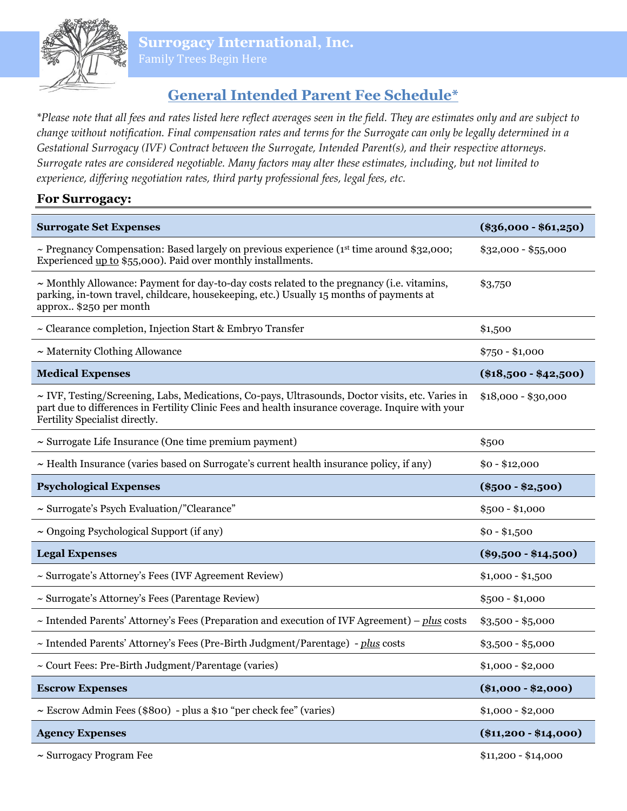**Surrogacy International, Inc.**

# **General Intended Parent Fee Schedule\***

*\*Please note that all fees and rates listed here reflect averages seen in the field. They are estimates only and are subject to change without notification. Final compensation rates and terms for the Surrogate can only be legally determined in a Gestational Surrogacy (IVF) Contract between the Surrogate, Intended Parent(s), and their respective attorneys. Surrogate rates are considered negotiable. Many factors may alter these estimates, including, but not limited to experience, differing negotiation rates, third party professional fees, legal fees, etc.* 

# **For Surrogacy:**

| <b>Surrogate Set Expenses</b>                                                                                                                                                                                                                | $(\$36,000 - \$61,250)$ |
|----------------------------------------------------------------------------------------------------------------------------------------------------------------------------------------------------------------------------------------------|-------------------------|
| ~ Pregnancy Compensation: Based largely on previous experience ( $1st$ time around \$32,000;<br>Experienced up to \$55,000). Paid over monthly installments.                                                                                 | $$32,000 - $55,000$     |
| $\sim$ Monthly Allowance: Payment for day-to-day costs related to the pregnancy (i.e. vitamins,<br>parking, in-town travel, childcare, housekeeping, etc.) Usually 15 months of payments at<br>approx \$250 per month                        | \$3,750                 |
| $\sim$ Clearance completion, Injection Start & Embryo Transfer                                                                                                                                                                               | \$1,500                 |
| $\sim$ Maternity Clothing Allowance                                                                                                                                                                                                          | $$750 - $1,000$         |
| <b>Medical Expenses</b>                                                                                                                                                                                                                      | $(\$18,500 - \$42,500)$ |
| $\sim$ IVF, Testing/Screening, Labs, Medications, Co-pays, Ultrasounds, Doctor visits, etc. Varies in<br>part due to differences in Fertility Clinic Fees and health insurance coverage. Inquire with your<br>Fertility Specialist directly. | $$18,000 - $30,000$     |
| $\sim$ Surrogate Life Insurance (One time premium payment)                                                                                                                                                                                   | \$500                   |
| $\sim$ Health Insurance (varies based on Surrogate's current health insurance policy, if any)                                                                                                                                                | $$0 - $12,000$          |
| <b>Psychological Expenses</b>                                                                                                                                                                                                                | $(\$500 - \$2,500)$     |
| ~ Surrogate's Psych Evaluation/"Clearance"                                                                                                                                                                                                   | $$500 - $1,000$         |
| $\sim$ Ongoing Psychological Support (if any)                                                                                                                                                                                                | $$0 - $1,500$           |
| <b>Legal Expenses</b>                                                                                                                                                                                                                        | $(\$9,500 - \$14,500)$  |
| ~ Surrogate's Attorney's Fees (IVF Agreement Review)                                                                                                                                                                                         | $$1,000 - $1,500$       |
| ~ Surrogate's Attorney's Fees (Parentage Review)                                                                                                                                                                                             | $$500 - $1,000$         |
| $\sim$ Intended Parents' Attorney's Fees (Preparation and execution of IVF Agreement) – plus costs                                                                                                                                           | $$3,500 - $5,000$       |
| ~ Intended Parents' Attorney's Fees (Pre-Birth Judgment/Parentage) - plus costs                                                                                                                                                              | $$3,500 - $5,000$       |
| ~ Court Fees: Pre-Birth Judgment/Parentage (varies)                                                                                                                                                                                          | $$1,000 - $2,000$       |
| <b>Escrow Expenses</b>                                                                                                                                                                                                                       | $(\$1,000 - \$2,000)$   |
| $\sim$ Escrow Admin Fees (\$800) - plus a \$10 "per check fee" (varies)                                                                                                                                                                      | $$1,000 - $2,000$       |
| <b>Agency Expenses</b>                                                                                                                                                                                                                       | $(\$11,200 - \$14,000)$ |
| $\sim$ Surrogacy Program Fee                                                                                                                                                                                                                 | $$11,200 - $14,000$     |